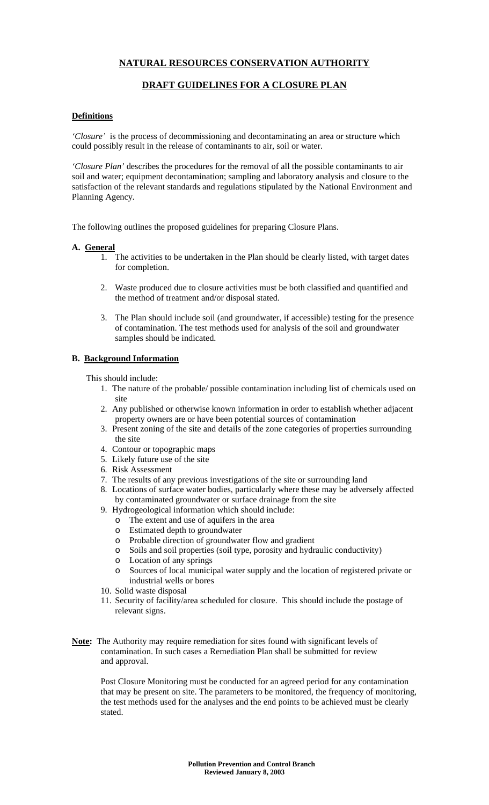# **NATURAL RESOURCES CONSERVATION AUTHORITY**

## **DRAFT GUIDELINES FOR A CLOSURE PLAN**

#### **Definitions**

*'Closure'* is the process of decommissioning and decontaminating an area or structure which could possibly result in the release of contaminants to air, soil or water.

*'Closure Plan'* describes the procedures for the removal of all the possible contaminants to air soil and water; equipment decontamination; sampling and laboratory analysis and closure to the satisfaction of the relevant standards and regulations stipulated by the National Environment and Planning Agency*.*

The following outlines the proposed guidelines for preparing Closure Plans.

#### **A. General**

- 1. The activities to be undertaken in the Plan should be clearly listed, with target dates for completion.
- 2. Waste produced due to closure activities must be both classified and quantified and the method of treatment and/or disposal stated.
- 3. The Plan should include soil (and groundwater, if accessible) testing for the presence of contamination. The test methods used for analysis of the soil and groundwater samples should be indicated.

### **B. Background Information**

This should include:

- 1. The nature of the probable/ possible contamination including list of chemicals used on site
- 2. Any published or otherwise known information in order to establish whether adjacent property owners are or have been potential sources of contamination
- 3. Present zoning of the site and details of the zone categories of properties surrounding the site
- 4. Contour or topographic maps
- 5. Likely future use of the site
- 6. Risk Assessment
- 7. The results of any previous investigations of the site or surrounding land
- 8. Locations of surface water bodies, particularly where these may be adversely affected by contaminated groundwater or surface drainage from the site
- 9. Hydrogeological information which should include:
	- o The extent and use of aquifers in the area
	- o Estimated depth to groundwater
	- o Probable direction of groundwater flow and gradient
	- o Soils and soil properties (soil type, porosity and hydraulic conductivity)
	- o Location of any springs
	- o Sources of local municipal water supply and the location of registered private or industrial wells or bores
- 10. Solid waste disposal
- 11. Security of facility/area scheduled for closure. This should include the postage of relevant signs.
- **Note:** The Authority may require remediation for sites found with significant levels of contamination. In such cases a Remediation Plan shall be submitted for review and approval.

Post Closure Monitoring must be conducted for an agreed period for any contamination that may be present on site. The parameters to be monitored, the frequency of monitoring, the test methods used for the analyses and the end points to be achieved must be clearly stated.